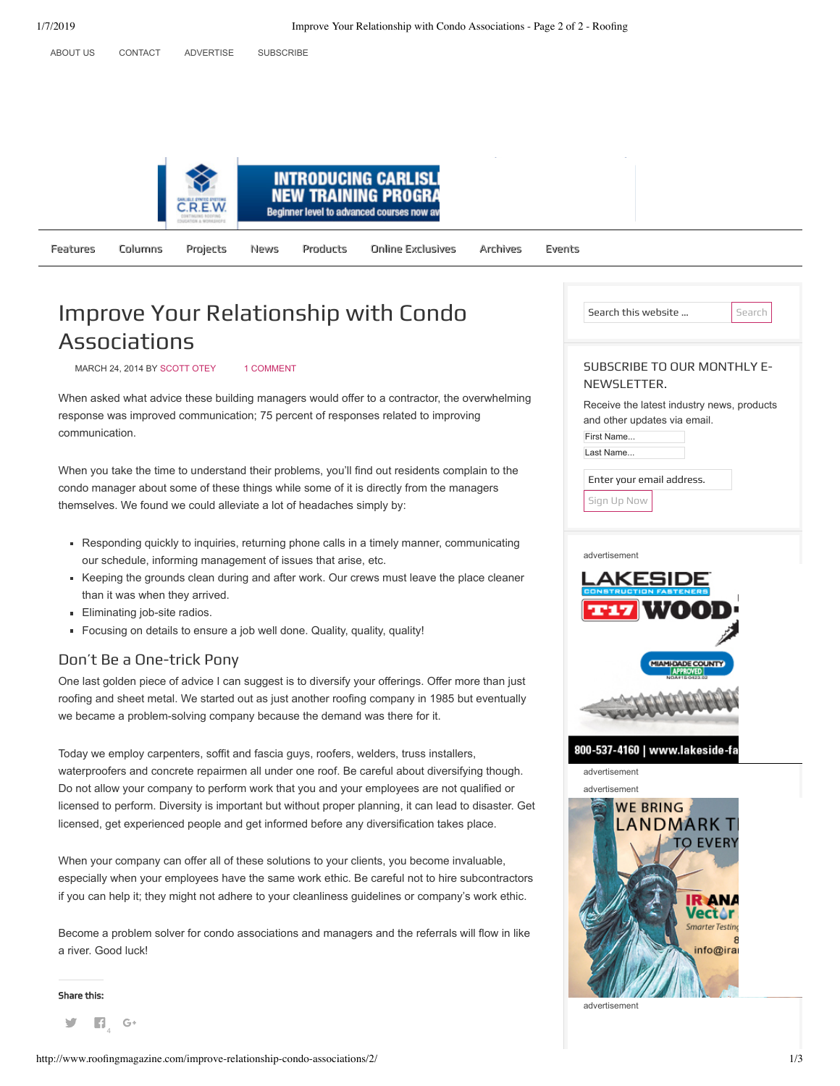



Features Columns Projects [News](http://www.roofingmagazine.com/category/news/) Products Online-Exclusives Archives Events

# Improve Your Relationship with Condo Associations

MARCH 24, 2014 BY [SCOTT OTEY](http://www.roofingmagazine.com/author/scottotey/) [1 COMMENT](http://www.roofingmagazine.com/improve-relationship-condo-associations/#comments)

When asked what advice these building managers would offer to a contractor, the overwhelming response was improved communication; 75 percent of responses related to improving communication.

When you take the time to understand their problems, you'll find out residents complain to the condo manager about some of these things while some of it is directly from the managers themselves. We found we could alleviate a lot of headaches simply by:

- Responding quickly to inquiries, returning phone calls in a timely manner, communicating our schedule, informing management of issues that arise, etc.
- Keeping the grounds clean during and after work. Our crews must leave the place cleaner than it was when they arrived.
- **Eliminating job-site radios.**
- Focusing on details to ensure a job well done. Quality, quality, quality!

### Don't Be a One-trick Pony

One last golden piece of advice I can suggest is to diversify your offerings. Offer more than just roofing and sheet metal. We started out as just another roofing company in 1985 but eventually we became a problem-solving company because the demand was there for it.

Today we employ carpenters, soffit and fascia guys, roofers, welders, truss installers, waterproofers and concrete repairmen all under one roof. Be careful about diversifying though. Do not allow your company to perform work that you and your employees are not qualified or licensed to perform. Diversity is important but without proper planning, it can lead to disaster. Get licensed, get experienced people and get informed before any diversification takes place.

When your company can offer all of these solutions to your clients, you become invaluable, especially when your employees have the same work ethic. Be careful not to hire subcontractors if you can help it; they might not adhere to your cleanliness guidelines or company's work ethic.

Become a problem solver for condo associations and managers and the referrals will flow in like a river. Good luck!

Share this:

y **Fi** G+

|   | Search this website<br>Search                                                                                       |
|---|---------------------------------------------------------------------------------------------------------------------|
|   | <b>SUBSCRIBE TO OUR MONTHLY E-</b><br>NEWSLETTER.                                                                   |
|   | Receive the latest industry news, products<br>and other updates via email.<br>First Name<br>Last Name               |
|   | Enter your email address.<br>Sign Up Now                                                                            |
|   | advertisement                                                                                                       |
|   | TT17                                                                                                                |
|   | <b>MIAMI-DADE COUNTY</b>                                                                                            |
|   |                                                                                                                     |
|   | 800-537-4160   www.lakeside-fa<br>advertisement                                                                     |
| t | advertisement<br><b>WE BRING</b><br><b>LANDMARK T</b><br>to Every<br>tor<br><b>Smarter Testing</b><br>8<br>info@ira |

advertisement